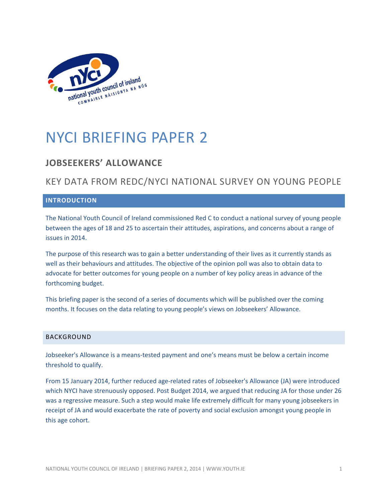

# NYCI BRIEFING PAPER 2

# **JOBSEEKERS' ALLOWANCE**

# KEY DATA FROM REDC/NYCI NATIONAL SURVEY ON YOUNG PEOPLE

## **INTRODUCTION**

The National Youth Council of Ireland commissioned Red C to conduct a national survey of young people between the ages of 18 and 25 to ascertain their attitudes, aspirations, and concerns about a range of issues in 2014.

The purpose of this research was to gain a better understanding of their lives as it currently stands as well as their behaviours and attitudes. The objective of the opinion poll was also to obtain data to advocate for better outcomes for young people on a number of key policy areas in advance of the forthcoming budget.

This briefing paper is the second of a series of documents which will be published over the coming months. It focuses on the data relating to young people's views on Jobseekers' Allowance.

#### BACKGROUND

Jobseeker's Allowance is a means-tested payment and one's means must be below a certain income threshold to qualify.

From 15 January 2014, further reduced age-related rates of Jobseeker's Allowance (JA) were introduced which NYCI have strenuously opposed. Post Budget 2014, we argued that reducing JA for those under 26 was a regressive measure. Such a step would make life extremely difficult for many young jobseekers in receipt of JA and would exacerbate the rate of poverty and social exclusion amongst young people in this age cohort.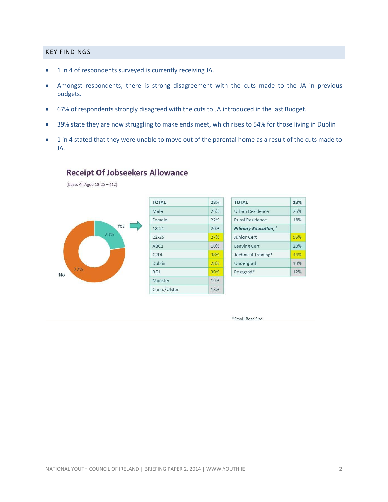### KEY FINDINGS

- 1 in 4 of respondents surveyed is currently receiving JA.
- Amongst respondents, there is strong disagreement with the cuts made to the JA in previous budgets.
- 67% of respondents strongly disagreed with the cuts to JA introduced in the last Budget.
- 39% state they are now struggling to make ends meet, which rises to 54% for those living in Dublin
- 1 in 4 stated that they were unable to move out of the parental home as a result of the cuts made to JA.

## **Receipt Of Jobseekers Allowance**

(Base: All Aged 18-25 - 412)



\*Small Base Size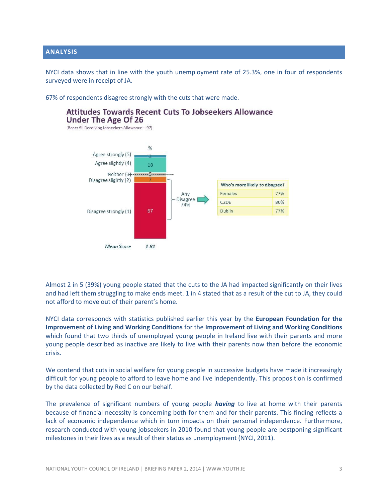## **ANALYSIS**

NYCI data shows that in line with the youth unemployment rate of 25.3%, one in four of respondents surveyed were in receipt of JA.

67% of respondents disagree strongly with the cuts that were made.





Almost 2 in 5 (39%) young people stated that the cuts to the JA had impacted significantly on their lives and had left them struggling to make ends meet. 1 in 4 stated that as a result of the cut to JA, they could not afford to move out of their parent's home.

NYCI data corresponds with statistics published earlier this year by the **European Foundation for the Improvement of Living and Working Conditions** for the **Improvement of Living and Working Conditions** which found that two thirds of unemployed young people in Ireland live with their parents and more young people described as inactive are likely to live with their parents now than before the economic crisis.

We contend that cuts in social welfare for young people in successive budgets have made it increasingly difficult for young people to afford to leave home and live independently. This proposition is confirmed by the data collected by Red C on our behalf.

The prevalence of significant numbers of young people *having* to live at home with their parents because of financial necessity is concerning both for them and for their parents. This finding reflects a lack of economic independence which in turn impacts on their personal independence. Furthermore, research conducted with young jobseekers in 2010 found that young people are postponing significant milestones in their lives as a result of their status as unemployment (NYCI, 2011).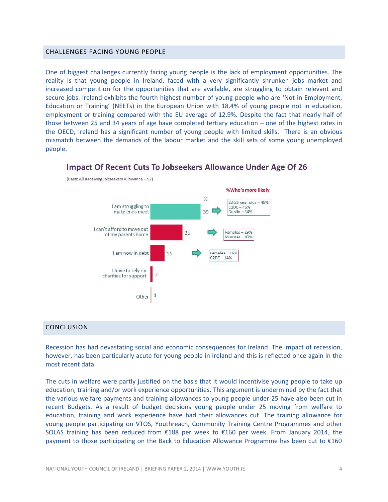#### CHALLENGES FACING YOUNG PEOPLE

One of biggest challenges currently facing young people is the lack of employment opportunities. The reality is that young people in Ireland, faced with a very significantly shrunken jobs market and increased competition for the opportunities that are available, are struggling to obtain relevant and secure jobs. Ireland exhibits the fourth highest number of young people who are 'Not in Employment, Education or Training' (NEETs) in the European Union with 18.4% of young people not in education, employment or training compared with the EU average of 12.9%. Despite the fact that nearly half of those between 25 and 34 years of age have completed tertiary education – one of the highest rates in the OECD, Ireland has a significant number of young people with limited skills. There is an obvious mismatch between the demands of the labour market and the skill sets of some young unemployed people.



## **Impact Of Recent Cuts To Jobseekers Allowance Under Age Of 26**

## CONCLUSION

Recession has had devastating social and economic consequences for Ireland. The impact of recession, however, has been particularly acute for young people in Ireland and this is reflected once again in the most recent data.

The cuts in welfare were partly justified on the basis that it would incentivise young people to take up education, training and/or work experience opportunities. This argument is undermined by the fact that the various welfare payments and training allowances to young people under 25 have also been cut in recent Budgets. As a result of budget decisions young people under 25 moving from welfare to education, training and work experience have had their allowances cut. The training allowance for young people participating on VTOS, Youthreach, Community Training Centre Programmes and other SOLAS training has been reduced from €188 per week to €160 per week. From January 2014, the payment to those participating on the Back to Education Allowance Programme has been cut to €160